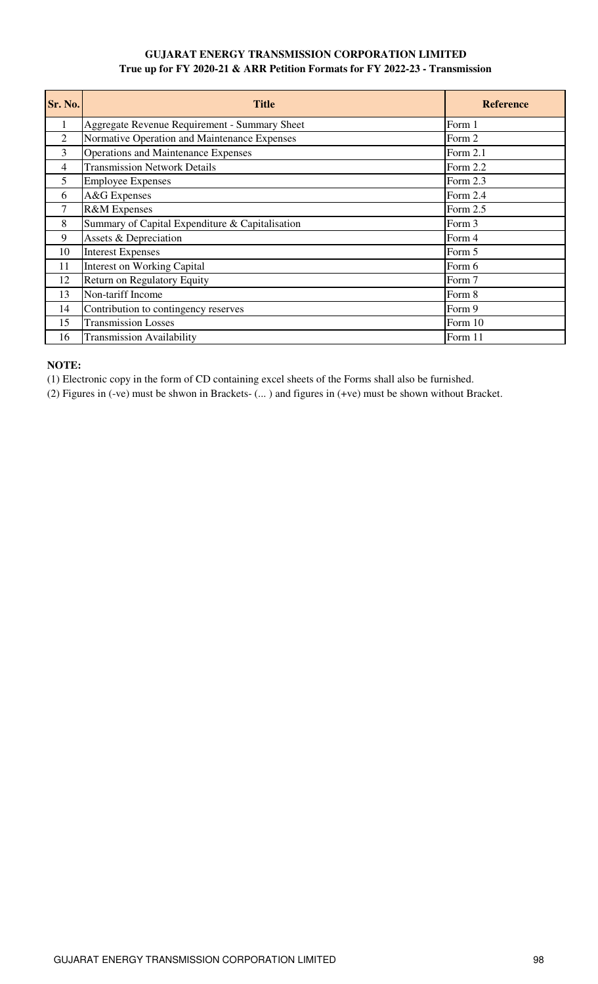# **GUJARAT ENERGY TRANSMISSION CORPORATION LIMITED True up for FY 2020-21 & ARR Petition Formats for FY 2022-23 - Transmission**

| Sr. No.        | <b>Title</b>                                    | <b>Reference</b> |
|----------------|-------------------------------------------------|------------------|
| 1              | Aggregate Revenue Requirement - Summary Sheet   | Form 1           |
| $\overline{2}$ | Normative Operation and Maintenance Expenses    | Form 2           |
| $\overline{3}$ | <b>Operations and Maintenance Expenses</b>      | Form 2.1         |
| $\overline{4}$ | <b>Transmission Network Details</b>             | Form 2.2         |
| 5              | <b>Employee Expenses</b>                        | Form 2.3         |
| 6              | A&G Expenses                                    | Form 2.4         |
| 7              | <b>R&amp;M</b> Expenses                         | Form 2.5         |
| 8              | Summary of Capital Expenditure & Capitalisation | Form 3           |
| 9              | Assets & Depreciation                           | Form 4           |
| 10             | <b>Interest Expenses</b>                        | Form 5           |
| 11             | <b>Interest on Working Capital</b>              | Form 6           |
| 12             | <b>Return on Regulatory Equity</b>              | Form 7           |
| 13             | Non-tariff Income                               | Form 8           |
| 14             | Contribution to contingency reserves            | Form 9           |
| 15             | <b>Transmission Losses</b>                      | Form 10          |
| 16             | <b>Transmission Availability</b>                | Form 11          |

## **NOTE:**

(1) Electronic copy in the form of CD containing excel sheets of the Forms shall also be furnished.

(2) Figures in (-ve) must be shwon in Brackets- (... ) and figures in (+ve) must be shown without Bracket.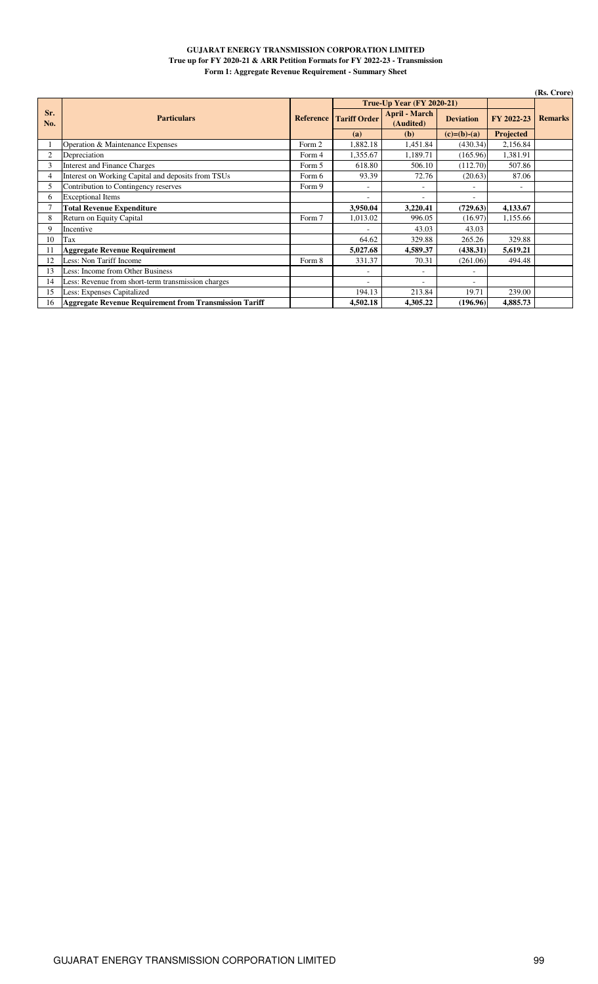### **GUJARAT ENERGY TRANSMISSION CORPORATION LIMITED True up for FY 2020-21 & ARR Petition Formats for FY 2022-23 - Transmission Form 1: Aggregate Revenue Requirement - Summary Sheet**

|            |                                                               |                  |                     |                                   |                  |                  | (Rs. Crore)    |
|------------|---------------------------------------------------------------|------------------|---------------------|-----------------------------------|------------------|------------------|----------------|
|            |                                                               |                  |                     | <b>True-Up Year (FY 2020-21)</b>  |                  |                  |                |
| Sr.<br>No. | <b>Particulars</b>                                            | <b>Reference</b> | <b>Tariff Order</b> | <b>April - March</b><br>(Audited) | <b>Deviation</b> | FY 2022-23       | <b>Remarks</b> |
|            |                                                               |                  | (a)                 | (b)                               | $(c)=(b)-(a)$    | <b>Projected</b> |                |
|            | Operation & Maintenance Expenses                              | Form 2           | 1,882.18            | 1,451.84                          | (430.34)         | 2,156.84         |                |
|            | Depreciation                                                  | Form 4           | 1,355.67            | 1,189.71                          | (165.96)         | 1,381.91         |                |
| 3          | <b>Interest and Finance Charges</b>                           | Form 5           | 618.80              | 506.10                            | (112.70)         | 507.86           |                |
| 4          | Interest on Working Capital and deposits from TSUs            | Form 6           | 93.39               | 72.76                             | (20.63)          | 87.06            |                |
| 5          | Contribution to Contingency reserves                          | Form 9           | ۰                   | ۰                                 |                  | ٠                |                |
| 6          | <b>Exceptional Items</b>                                      |                  | ۰                   | ٠                                 |                  |                  |                |
|            | <b>Total Revenue Expenditure</b>                              |                  | 3,950.04            | 3,220.41                          | (729.63)         | 4,133.67         |                |
| 8          | Return on Equity Capital                                      | Form 7           | 1,013.02            | 996.05                            | (16.97)          | 1,155.66         |                |
| 9          | Incentive                                                     |                  |                     | 43.03                             | 43.03            |                  |                |
| 10         | Tax                                                           |                  | 64.62               | 329.88                            | 265.26           | 329.88           |                |
| 11         | <b>Aggregate Revenue Requirement</b>                          |                  | 5,027.68            | 4,589.37                          | (438.31)         | 5,619.21         |                |
| 12         | Less: Non Tariff Income                                       | Form 8           | 331.37              | 70.31                             | (261.06)         | 494.48           |                |
| 13         | Less: Income from Other Business                              |                  | ۰                   | ۰                                 | ۰                |                  |                |
| 14         | Less: Revenue from short-term transmission charges            |                  |                     |                                   |                  |                  |                |
| 15         | Less: Expenses Capitalized                                    |                  | 194.13              | 213.84                            | 19.71            | 239.00           |                |
| 16         | <b>Aggregate Revenue Requirement from Transmission Tariff</b> |                  | 4.502.18            | 4.305.22                          | (196.96)         | 4,885.73         |                |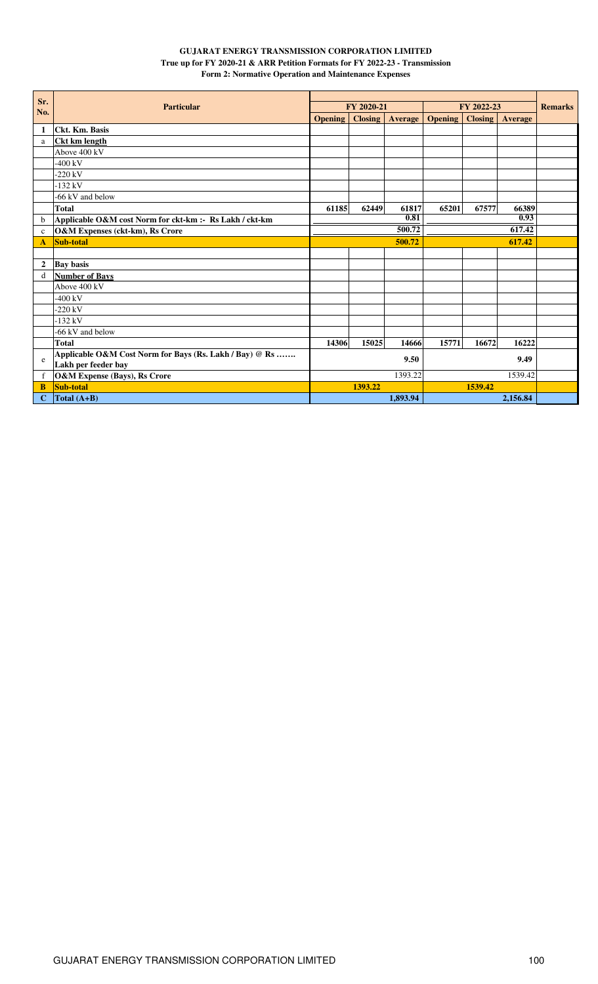## **GUJARAT ENERGY TRANSMISSION CORPORATION LIMITED True up for FY 2020-21 & ARR Petition Formats for FY 2022-23 - Transmission Form 2: Normative Operation and Maintenance Expenses**

| Sr.            |                                                         |                |                |          |                |                |                |                |
|----------------|---------------------------------------------------------|----------------|----------------|----------|----------------|----------------|----------------|----------------|
| No.            | <b>Particular</b>                                       |                | FY 2020-21     |          |                | FY 2022-23     |                | <b>Remarks</b> |
|                |                                                         | <b>Opening</b> | <b>Closing</b> | Average  | <b>Opening</b> | <b>Closing</b> | <b>Average</b> |                |
| -1             | Ckt. Km. Basis                                          |                |                |          |                |                |                |                |
| a              | <b>Ckt km length</b>                                    |                |                |          |                |                |                |                |
|                | Above $400 \text{ kV}$                                  |                |                |          |                |                |                |                |
|                | $-400$ kV                                               |                |                |          |                |                |                |                |
|                | $-220$ kV                                               |                |                |          |                |                |                |                |
|                | $-132$ kV                                               |                |                |          |                |                |                |                |
|                | -66 kV and below                                        |                |                |          |                |                |                |                |
|                | <b>Total</b>                                            | 61185          | 62449          | 61817    | 65201          | 67577          | 66389          |                |
| b              | Applicable O&M cost Norm for ckt-km :- Rs Lakh / ckt-km |                |                | 0.81     |                |                | 0.93           |                |
| $\mathbf c$    | O&M Expenses (ckt-km), Rs Crore                         |                |                | 500.72   |                |                | 617.42         |                |
| A              | Sub-total                                               |                |                | 500.72   | 617.42         |                |                |                |
|                |                                                         |                |                |          |                |                |                |                |
| $\overline{2}$ | <b>Bay basis</b>                                        |                |                |          |                |                |                |                |
| d              | <b>Number of Bays</b>                                   |                |                |          |                |                |                |                |
|                | Above 400 kV                                            |                |                |          |                |                |                |                |
|                | $-400$ kV                                               |                |                |          |                |                |                |                |
|                | $-220$ kV                                               |                |                |          |                |                |                |                |
|                | $-132$ kV                                               |                |                |          |                |                |                |                |
|                | -66 kV and below                                        |                |                |          |                |                |                |                |
|                | Total                                                   | 14306          | 15025          | 14666    | 15771          | 16672          | 16222          |                |
| e              | Applicable O&M Cost Norm for Bays (Rs. Lakh / Bay) @ Rs |                |                | 9.50     |                |                | 9.49           |                |
|                | Lakh per feeder bay                                     |                |                |          |                |                |                |                |
| f              | <b>O&amp;M Expense (Bays), Rs Crore</b>                 |                |                | 1393.22  |                |                | 1539.42        |                |
| B              | Sub-total                                               |                | 1393.22        |          |                | 1539.42        |                |                |
| C              | Total $(A+B)$                                           |                |                | 1.893.94 |                |                | 2,156.84       |                |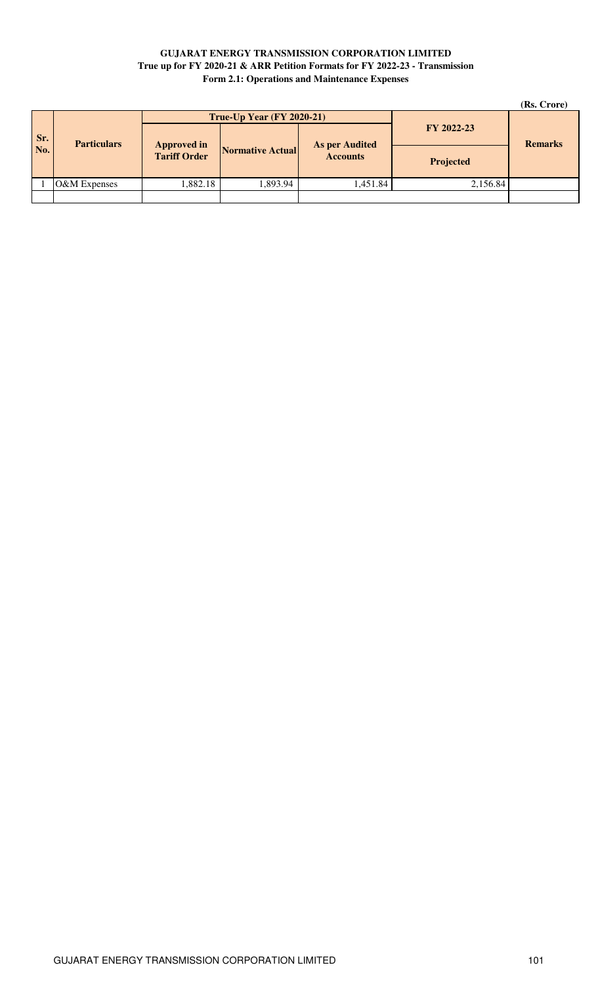## **GUJARAT ENERGY TRANSMISSION CORPORATION LIMITED True up for FY 2020-21 & ARR Petition Formats for FY 2022-23 - Transmission Form 2.1: Operations and Maintenance Expenses**

|     |              |                                             |                                  |                |                  | (Rs. Crore) |
|-----|--------------|---------------------------------------------|----------------------------------|----------------|------------------|-------------|
|     |              |                                             | <b>True-Up Year (FY 2020-21)</b> |                |                  |             |
| Sr. |              | <b>Particulars</b><br><b>As per Audited</b> | FY 2022-23                       | <b>Remarks</b> |                  |             |
| No. |              | <b>Approved in</b><br>Tariff Order          | <b>Normative Actual</b>          |                | <b>Projected</b> |             |
|     | O&M Expenses | 1,882.18                                    | 1,893.94                         | .451.84        | 2,156.84         |             |
|     |              |                                             |                                  |                |                  |             |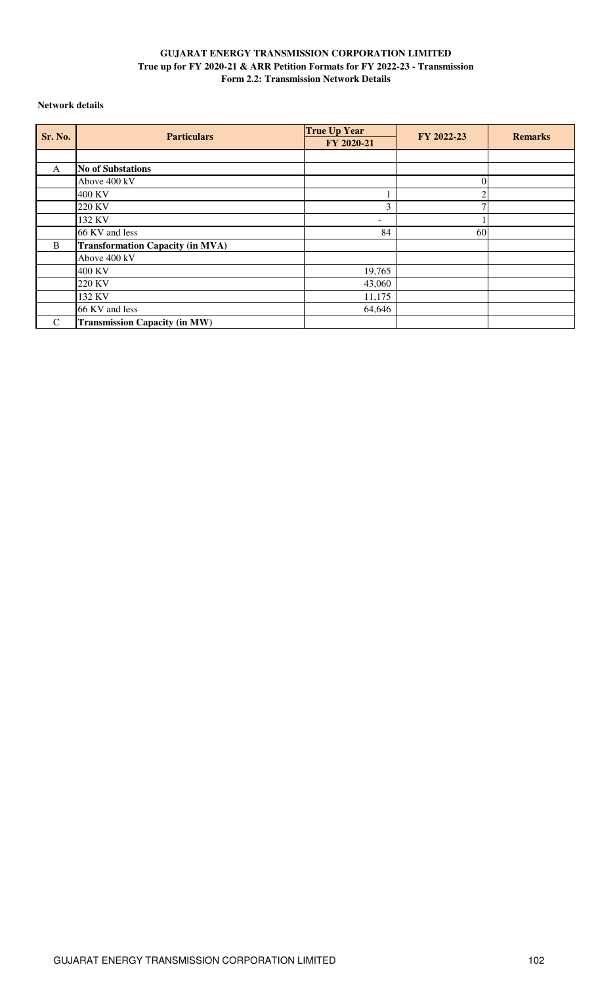## **GUJARAT ENERGY TRANSMISSION CORPORATION LIMITED True up for FY 2020-21 & ARR Petition Formats for FY 2022-23 - Transmission Form 2.2: Transmission Network Details**

## **Network details**

| Sr. No.       | <b>Particulars</b>                      | <b>True Up Year</b> | FY 2022-23 | <b>Remarks</b> |
|---------------|-----------------------------------------|---------------------|------------|----------------|
|               |                                         | FY 2020-21          |            |                |
|               |                                         |                     |            |                |
| A             | <b>No of Substations</b>                |                     |            |                |
|               | Above 400 kV                            |                     |            |                |
|               | 400 KV                                  |                     |            |                |
|               | 220 KV                                  | 3                   |            |                |
|               | 132 KV                                  | ۰                   |            |                |
|               | 66 KV and less                          | 84                  | 60         |                |
| B             | <b>Transformation Capacity (in MVA)</b> |                     |            |                |
|               | Above 400 kV                            |                     |            |                |
|               | 400 KV                                  | 19,765              |            |                |
|               | 220 KV                                  | 43,060              |            |                |
|               | 132 KV                                  | 11,175              |            |                |
|               | 66 KV and less                          | 64,646              |            |                |
| $\mathcal{C}$ | <b>Transmission Capacity (in MW)</b>    |                     |            |                |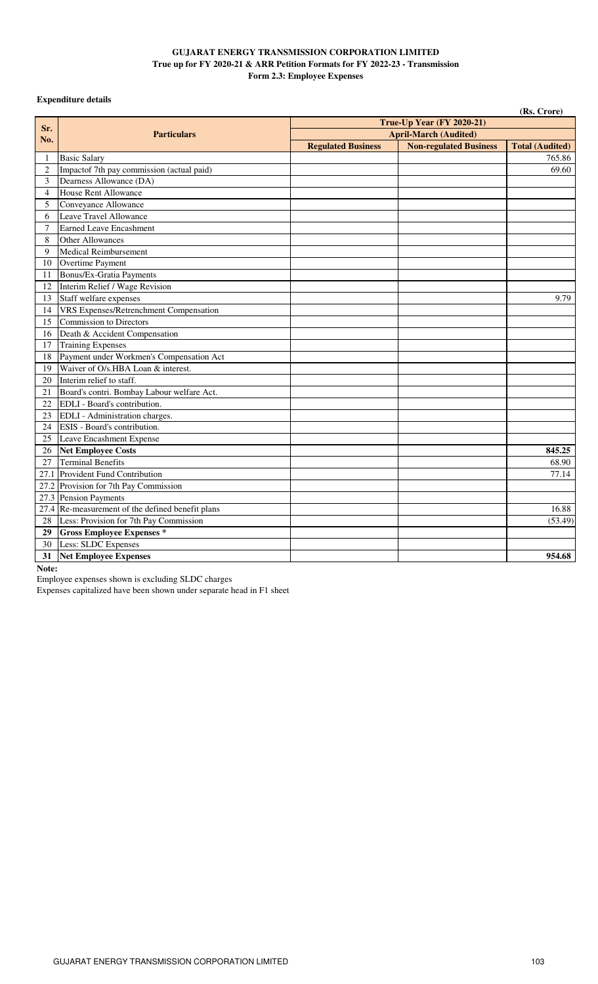### **GUJARAT ENERGY TRANSMISSION CORPORATION LIMITED True up for FY 2020-21 & ARR Petition Formats for FY 2022-23 - Transmission Form 2.3: Employee Expenses**

## **Expenditure details**

|                |                                                  |                           |                               | (Rs. Crore)            |
|----------------|--------------------------------------------------|---------------------------|-------------------------------|------------------------|
|                |                                                  |                           | True-Up Year (FY 2020-21)     |                        |
| Sr.<br>No.     | <b>Particulars</b>                               |                           | <b>April-March (Audited)</b>  |                        |
|                |                                                  | <b>Regulated Business</b> | <b>Non-regulated Business</b> | <b>Total (Audited)</b> |
| 1              | <b>Basic Salary</b>                              |                           |                               | 765.86                 |
| $\overline{2}$ | Impactof 7th pay commission (actual paid)        |                           |                               | 69.60                  |
| 3              | Dearness Allowance (DA)                          |                           |                               |                        |
| $\overline{4}$ | House Rent Allowance                             |                           |                               |                        |
| 5              | Conveyance Allowance                             |                           |                               |                        |
| 6              | Leave Travel Allowance                           |                           |                               |                        |
| $\overline{7}$ | <b>Earned Leave Encashment</b>                   |                           |                               |                        |
| 8              | <b>Other Allowances</b>                          |                           |                               |                        |
| 9              | <b>Medical Reimbursement</b>                     |                           |                               |                        |
| 10             | Overtime Payment                                 |                           |                               |                        |
| 11             | <b>Bonus/Ex-Gratia Payments</b>                  |                           |                               |                        |
| 12             | Interim Relief / Wage Revision                   |                           |                               |                        |
| 13             | Staff welfare expenses                           |                           |                               | 9.79                   |
| 14             | <b>VRS Expenses/Retrenchment Compensation</b>    |                           |                               |                        |
| 15             | Commission to Directors                          |                           |                               |                        |
| 16             | Death & Accident Compensation                    |                           |                               |                        |
| 17             | <b>Training Expenses</b>                         |                           |                               |                        |
| 18             | Payment under Workmen's Compensation Act         |                           |                               |                        |
| 19             | Waiver of O/s.HBA Loan & interest.               |                           |                               |                        |
| 20             | Interim relief to staff.                         |                           |                               |                        |
| 21             | Board's contri. Bombay Labour welfare Act.       |                           |                               |                        |
| 22             | EDLI - Board's contribution.                     |                           |                               |                        |
| 23             | EDLI - Administration charges.                   |                           |                               |                        |
| 24             | ESIS - Board's contribution.                     |                           |                               |                        |
| 25             | Leave Encashment Expense                         |                           |                               |                        |
| 26             | <b>Net Employee Costs</b>                        |                           |                               | 845.25                 |
| 27             | <b>Terminal Benefits</b>                         |                           |                               | 68.90                  |
|                | 27.1 Provident Fund Contribution                 |                           |                               | 77.14                  |
|                | 27.2 Provision for 7th Pay Commission            |                           |                               |                        |
|                | 27.3 Pension Payments                            |                           |                               |                        |
|                | 27.4 Re-measurement of the defined benefit plans |                           |                               | 16.88                  |
| 28             | Less: Provision for 7th Pay Commission           |                           |                               | (53.49)                |
| 29             | <b>Gross Employee Expenses *</b>                 |                           |                               |                        |
| 30             | Less: SLDC Expenses                              |                           |                               |                        |
| 31             | <b>Net Employee Expenses</b>                     |                           |                               | 954.68                 |

## **Note:**

Employee expenses shown is excluding SLDC charges

Expenses capitalized have been shown under separate head in F1 sheet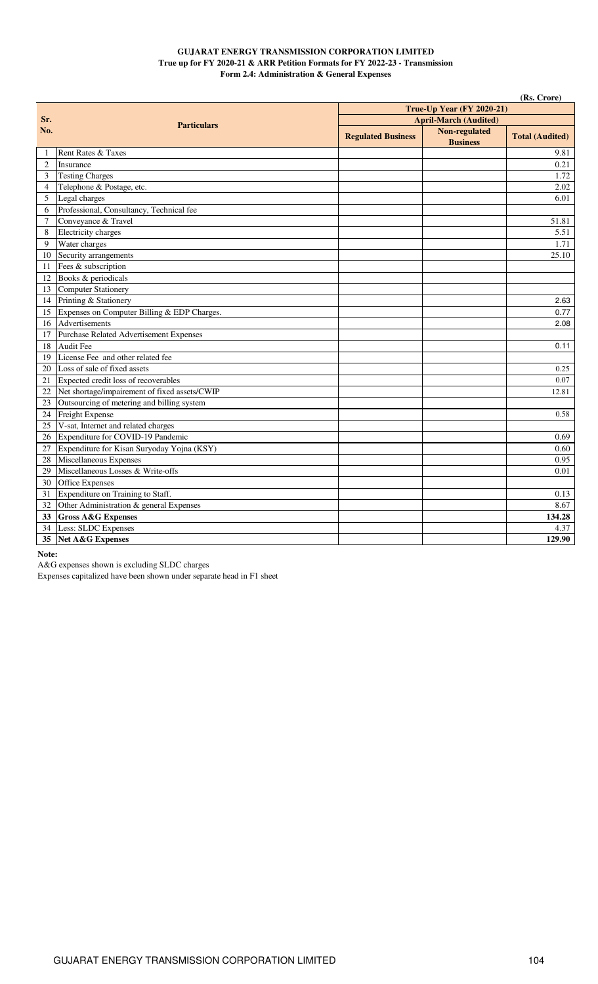### **GUJARAT ENERGY TRANSMISSION CORPORATION LIMITED True up for FY 2020-21 & ARR Petition Formats for FY 2022-23 - Transmission Form 2.4: Administration & General Expenses**

|                |                                               |                           |                                         | (Rs. Crore)            |
|----------------|-----------------------------------------------|---------------------------|-----------------------------------------|------------------------|
|                |                                               |                           | True-Up Year (FY 2020-21)               |                        |
| Sr.            | <b>Particulars</b>                            |                           | <b>April-March (Audited)</b>            |                        |
| No.            |                                               | <b>Regulated Business</b> | <b>Non-regulated</b><br><b>Business</b> | <b>Total (Audited)</b> |
| 1              | Rent Rates & Taxes                            |                           |                                         | 9.81                   |
| $\overline{2}$ | Insurance                                     |                           |                                         | 0.21                   |
| 3              | <b>Testing Charges</b>                        |                           |                                         | 1.72                   |
| $\overline{4}$ | Telephone & Postage, etc.                     |                           |                                         | 2.02                   |
| 5              | Legal charges                                 |                           |                                         | 6.01                   |
| 6              | Professional, Consultancy, Technical fee      |                           |                                         |                        |
| 7              | Conveyance & Travel                           |                           |                                         | 51.81                  |
| 8              | Electricity charges                           |                           |                                         | 5.51                   |
| 9              | Water charges                                 |                           |                                         | 1.71                   |
| 10             | Security arrangements                         |                           |                                         | 25.10                  |
| 11             | Fees & subscription                           |                           |                                         |                        |
| 12             | Books & periodicals                           |                           |                                         |                        |
| 13             | Computer Stationery                           |                           |                                         |                        |
| 14             | Printing & Stationery                         |                           |                                         | 2.63                   |
| 15             | Expenses on Computer Billing & EDP Charges.   |                           |                                         | 0.77                   |
| 16             | Advertisements                                |                           |                                         | 2.08                   |
| 17             | Purchase Related Advertisement Expenses       |                           |                                         |                        |
| 18             | Audit Fee                                     |                           |                                         | 0.11                   |
| 19             | License Fee and other related fee             |                           |                                         |                        |
| 20             | Loss of sale of fixed assets                  |                           |                                         | 0.25                   |
| 21             | Expected credit loss of recoverables          |                           |                                         | 0.07                   |
| 22             | Net shortage/impairement of fixed assets/CWIP |                           |                                         | 12.81                  |
| 23             | Outsourcing of metering and billing system    |                           |                                         |                        |
| 24             | Freight Expense                               |                           |                                         | 0.58                   |
| 25             | V-sat, Internet and related charges           |                           |                                         |                        |
| 26             | Expenditure for COVID-19 Pandemic             |                           |                                         | 0.69                   |
| 27             | Expenditure for Kisan Suryoday Yojna (KSY)    |                           |                                         | 0.60                   |
| 28             | Miscellaneous Expenses                        |                           |                                         | 0.95                   |
| 29             | Miscellaneous Losses & Write-offs             |                           |                                         | 0.01                   |
| 30             | Office Expenses                               |                           |                                         |                        |
| 31             | Expenditure on Training to Staff.             |                           |                                         | 0.13                   |
| 32             | Other Administration & general Expenses       |                           |                                         | 8.67                   |
| 33             | <b>Gross A&amp;G Expenses</b>                 |                           |                                         | 134.28                 |
| 34             | Less: SLDC Expenses                           |                           |                                         | 4.37                   |
| 35             | Net A&G Expenses                              |                           |                                         | 129.90                 |

#### **Note:**

A&G expenses shown is excluding SLDC charges

Expenses capitalized have been shown under separate head in F1 sheet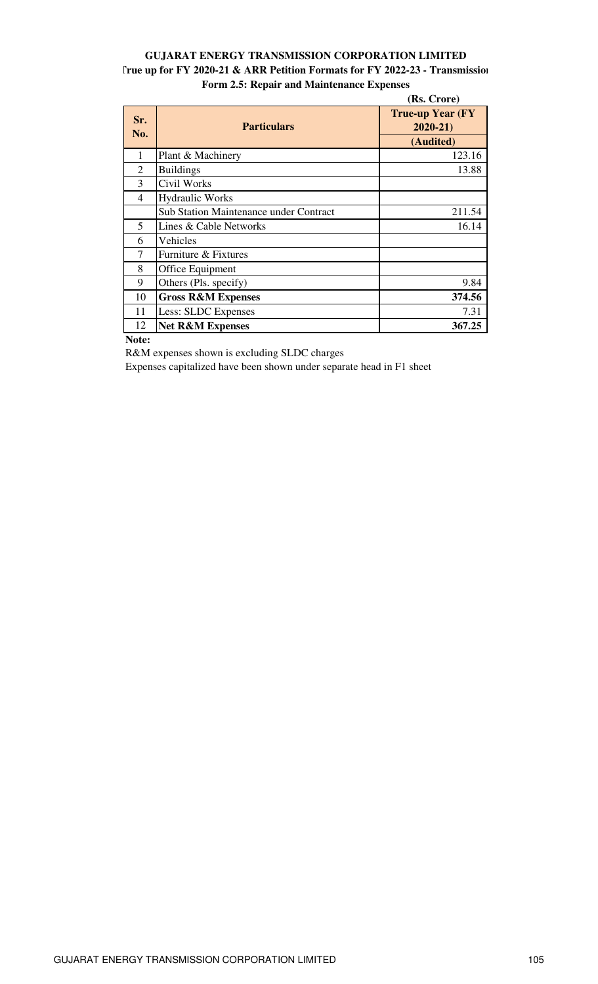# **GUJARAT ENERGY TRANSMISSION CORPORATION LIMITED True up for FY 2020-21 & ARR Petition Formats for FY 2022-23 - Transmission Form 2.5: Repair and Maintenance Expenses**

|                |                                               | (Rs. Crore)                             |
|----------------|-----------------------------------------------|-----------------------------------------|
| Sr.<br>No.     | <b>Particulars</b>                            | <b>True-up Year (FY)</b><br>$2020 - 21$ |
|                |                                               | (Audited)                               |
| 1              | Plant & Machinery                             | 123.16                                  |
| $\overline{2}$ | <b>Buildings</b>                              | 13.88                                   |
| 3              | Civil Works                                   |                                         |
| 4              | <b>Hydraulic Works</b>                        |                                         |
|                | <b>Sub Station Maintenance under Contract</b> | 211.54                                  |
| 5              | Lines & Cable Networks                        | 16.14                                   |
| 6              | Vehicles                                      |                                         |
| 7              | Furniture & Fixtures                          |                                         |
| 8              | Office Equipment                              |                                         |
| 9              | Others (Pls. specify)                         | 9.84                                    |
| 10             | <b>Gross R&amp;M Expenses</b>                 | 374.56                                  |
| 11             | Less: SLDC Expenses                           | 7.31                                    |
| 12             | <b>Net R&amp;M Expenses</b>                   | 367.25                                  |

**Note:** 

R&M expenses shown is excluding SLDC charges

Expenses capitalized have been shown under separate head in F1 sheet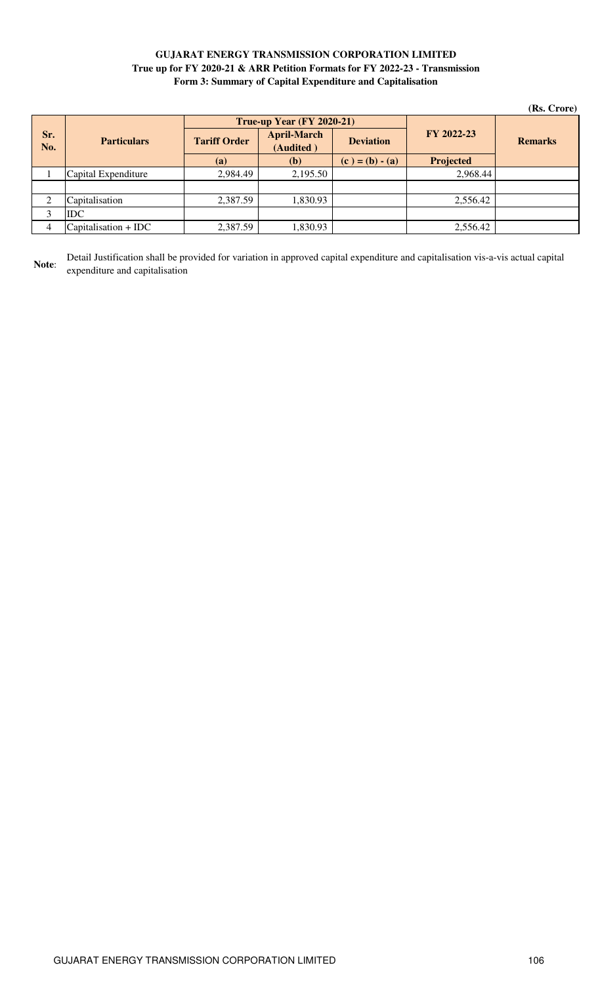## **GUJARAT ENERGY TRANSMISSION CORPORATION LIMITED True up for FY 2020-21 & ARR Petition Formats for FY 2022-23 - Transmission Form 3: Summary of Capital Expenditure and Capitalisation**

|                |                        |                     |                                  |                   |                  | (Rs. Crore)    |
|----------------|------------------------|---------------------|----------------------------------|-------------------|------------------|----------------|
|                |                        |                     | <b>True-up Year (FY 2020-21)</b> |                   |                  |                |
| Sr.<br>No.     | <b>Particulars</b>     | <b>Tariff Order</b> | <b>April-March</b><br>(Audited)  | <b>Deviation</b>  | FY 2022-23       | <b>Remarks</b> |
|                |                        | (a)                 | <b>(b)</b>                       | $(c) = (b) - (a)$ | <b>Projected</b> |                |
|                | Capital Expenditure    | 2,984.49            | 2,195.50                         |                   | 2,968.44         |                |
|                |                        |                     |                                  |                   |                  |                |
| $\overline{2}$ | Capitalisation         | 2,387.59            | 1,830.93                         |                   | 2,556.42         |                |
| 3              | <b>IDC</b>             |                     |                                  |                   |                  |                |
| 4              | $Capitalisation + IDC$ | 2,387.59            | 1,830.93                         |                   | 2,556.42         |                |

**Note**: Detail Justification shall be provided for variation in approved capital expenditure and capitalisation vis-a-vis actual capital expenditure and capitalisation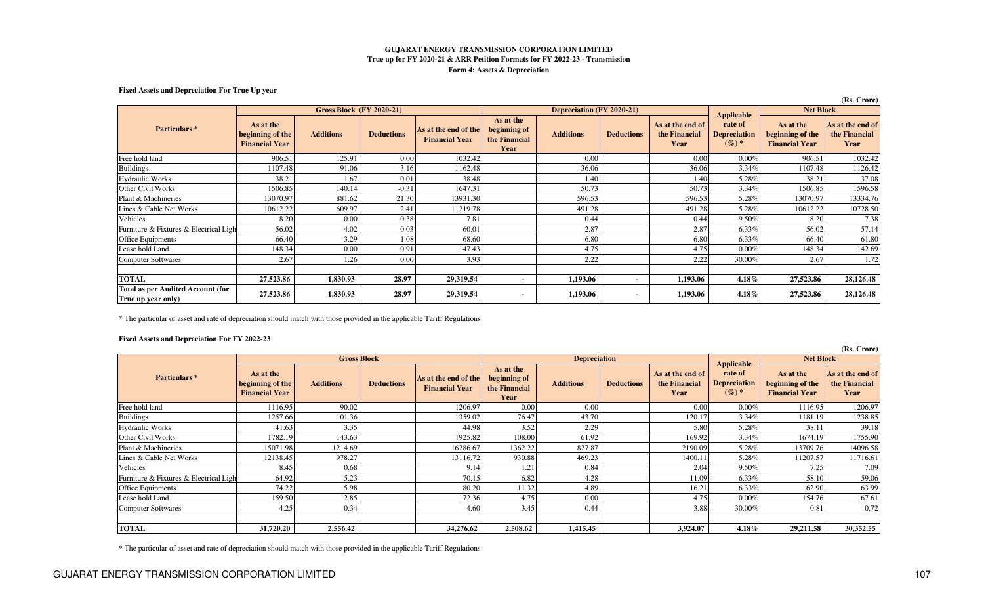#### **GUJARAT ENERGY TRANSMISSION CORPORATION LIMITED True up for FY 2020-21 & ARR Petition Formats for FY 2022-23 - TransmissionForm 4: Assets & Depreciation**

#### **Fixed Assets and Depreciation For True Up year**

|                                                                | (Rs. Crore)                                            |                                 |                   |                                               |                                                    |                  |                   |                                           |                                          |                                                        |                                           |
|----------------------------------------------------------------|--------------------------------------------------------|---------------------------------|-------------------|-----------------------------------------------|----------------------------------------------------|------------------|-------------------|-------------------------------------------|------------------------------------------|--------------------------------------------------------|-------------------------------------------|
|                                                                |                                                        | <b>Gross Block (FY 2020-21)</b> |                   |                                               | <b>Depreciation (FY 2020-21)</b>                   |                  |                   |                                           | <b>Applicable</b>                        | <b>Net Block</b>                                       |                                           |
| Particulars <sup>*</sup>                                       | As at the<br>beginning of the<br><b>Financial Year</b> | <b>Additions</b>                | <b>Deductions</b> | As at the end of the<br><b>Financial Year</b> | As at the<br>beginning of<br>the Financial<br>Year | <b>Additions</b> | <b>Deductions</b> | As at the end of<br>the Financial<br>Year | rate of<br><b>Depreciation</b><br>$(%)*$ | As at the<br>beginning of the<br><b>Financial Year</b> | As at the end of<br>the Financial<br>Year |
| Free hold land                                                 | 906.51                                                 | 125.91                          | 0.00              | 1032.42                                       |                                                    | 0.00             |                   | 0.00                                      | 0.00%                                    | 906.51                                                 | 1032.42                                   |
| <b>Buildings</b>                                               | 1107.48                                                | 91.06                           | 3.16              | 1162.48                                       |                                                    | 36.06            |                   | 36.06                                     | 3.34%                                    | 1107.48                                                | 1126.42                                   |
| <b>Hydraulic Works</b>                                         | 38.21                                                  | 1.67                            | 0.01              | 38.48                                         |                                                    | 1.40             |                   | 1.40                                      | 5.28%                                    | 38.2                                                   | 37.08                                     |
| Other Civil Works                                              | 1506.85                                                | 140.14                          | $-0.31$           | 1647.31                                       |                                                    | 50.73            |                   | 50.73                                     | 3.34%                                    | 1506.85                                                | 1596.58                                   |
| Plant & Machineries                                            | 13070.97                                               | 881.62                          | 21.30             | 13931.30                                      |                                                    | 596.53           |                   | 596.53                                    | 5.28%                                    | 13070.97                                               | 13334.76                                  |
| Lines & Cable Net Works                                        | 10612.22                                               | 609.97                          | 2.41              | 11219.78                                      |                                                    | 491.28           |                   | 491.28                                    | 5.28%                                    | 10612.22                                               | 10728.50                                  |
| Vehicles                                                       | 8.20                                                   | 0.00                            | 0.38              | 7.81                                          |                                                    | 0.44             |                   | 0.44                                      | 9.50%                                    | 8.20                                                   | 7.38                                      |
| Furniture & Fixtures & Electrical Ligh                         | 56.02                                                  | 4.02                            | 0.03              | 60.01                                         |                                                    | 2.87             |                   | 2.87                                      | 6.33%                                    | 56.02                                                  | 57.14                                     |
| Office Equipments                                              | 66.40                                                  | 3.29                            | 1.08              | 68.60                                         |                                                    | 6.80             |                   | 6.80                                      | 6.33%                                    | 66.40                                                  | 61.80                                     |
| Lease hold Land                                                | 148.34                                                 | 0.00                            | 0.91              | 147.43                                        |                                                    | 4.75             |                   | 4.75                                      | 0.00%                                    | 148.34                                                 | 142.69                                    |
| <b>Computer Softwares</b>                                      | 2.67                                                   | 1.26                            | 0.00              | 3.93                                          |                                                    | 2.22             |                   | 2.22                                      | 30.00%                                   | 2.67                                                   | 1.72                                      |
|                                                                |                                                        |                                 |                   |                                               |                                                    |                  |                   |                                           |                                          |                                                        |                                           |
| <b>TOTAL</b>                                                   | 27,523.86                                              | 1,830.93                        | 28.97             | 29,319.54                                     |                                                    | 1,193.06         |                   | 1,193.06                                  | $4.18\%$                                 | 27,523.86                                              | 28,126.48                                 |
| <b>Total as per Audited Account (for</b><br>True up year only) | 27,523.86                                              | 1,830.93                        | 28.97             | 29,319.54                                     | $\blacksquare$                                     | 1,193.06         | $\sim$            | 1,193.06                                  | $4.18\%$                                 | 27,523.86                                              | 28,126.48                                 |

\* The particular of asset and rate of depreciation should match with those provided in the applicable Tariff Regulations

#### **Fixed Assets and Depreciation For FY 2022-23**

|                                        | (Rs. Crore)                                            |                    |                   |                                               |                                                    |                  |                   |                                           |                                          |                                                        |                                           |
|----------------------------------------|--------------------------------------------------------|--------------------|-------------------|-----------------------------------------------|----------------------------------------------------|------------------|-------------------|-------------------------------------------|------------------------------------------|--------------------------------------------------------|-------------------------------------------|
|                                        |                                                        | <b>Gross Block</b> |                   |                                               | <b>Depreciation</b>                                |                  |                   | <b>Applicable</b>                         | <b>Net Block</b>                         |                                                        |                                           |
| Particulars <sup>*</sup>               | As at the<br>beginning of the<br><b>Financial Year</b> | <b>Additions</b>   | <b>Deductions</b> | As at the end of the<br><b>Financial Year</b> | As at the<br>beginning of<br>the Financial<br>Year | <b>Additions</b> | <b>Deductions</b> | As at the end of<br>the Financial<br>Year | rate of<br><b>Depreciation</b><br>$(%)*$ | As at the<br>beginning of the<br><b>Financial Year</b> | As at the end of<br>the Financial<br>Year |
| Free hold land                         | 1116.95                                                | 90.02              |                   | 1206.97                                       | 0.00                                               | 0.00             |                   | 0.00                                      | 0.00%                                    | 1116.95                                                | 1206.97                                   |
| <b>Buildings</b>                       | 1257.66                                                | 101.36             |                   | 1359.02                                       | 76.47                                              | 43.70            |                   | 120.17                                    | 3.34%                                    | 1181.19                                                | 1238.85                                   |
| <b>Hydraulic Works</b>                 | 41.63                                                  | 3.35               |                   | 44.98                                         | 3.52                                               | 2.29             |                   | 5.80                                      | 5.28%                                    | 38.1                                                   | 39.18                                     |
| Other Civil Works                      | 1782.19                                                | 143.63             |                   | 1925.82                                       | 108.00                                             | 61.92            |                   | 169.92                                    | 3.34%                                    | 1674.19                                                | 1755.90                                   |
| Plant & Machineries                    | 15071.98                                               | 1214.69            |                   | 16286.67                                      | 1362.22                                            | 827.87           |                   | 2190.09                                   | 5.28%                                    | 13709.76                                               | 14096.58                                  |
| Lines & Cable Net Works                | 12138.45                                               | 978.27             |                   | 13116.72                                      | 930.88                                             | 469.23           |                   | 1400.1                                    | 5.28%                                    | 11207.57                                               | 11716.61                                  |
| Vehicles                               | 8.45                                                   | 0.68               |                   | 9.14                                          | 1.21                                               | 0.84             |                   | 2.04                                      | 9.50%                                    | 7.25                                                   | 7.09                                      |
| Furniture & Fixtures & Electrical Ligh | 64.92                                                  | 5.23               |                   | 70.15                                         | 6.82                                               | 4.28             |                   | 11.09                                     | 6.33%                                    | 58.10                                                  | 59.06                                     |
| Office Equipments                      | 74.22                                                  | 5.98               |                   | 80.20                                         | 11.32                                              | 4.89             |                   | 16.21                                     | 6.33%                                    | 62.90                                                  | 63.99                                     |
| Lease hold Land                        | 159.50                                                 | 12.85              |                   | 172.36                                        | 4.75                                               | 0.00             |                   | 4.75                                      | 0.00%                                    | 154.76                                                 | 167.61                                    |
| Computer Softwares                     | 4.25                                                   | 0.34               |                   | 4.60                                          | 3.45                                               | 0.44             |                   | 3.88                                      | 30.00%                                   | 0.81                                                   | 0.72                                      |
| <b>TOTAL</b>                           | 31,720.20                                              | 2,556.42           |                   | 34,276.62                                     | 2,508.62                                           | 1,415.45         |                   | 3,924.07                                  | $4.18\%$                                 | 29,211.58                                              | 30,352.55                                 |

\* The particular of asset and rate of depreciation should match with those provided in the applicable Tariff Regulations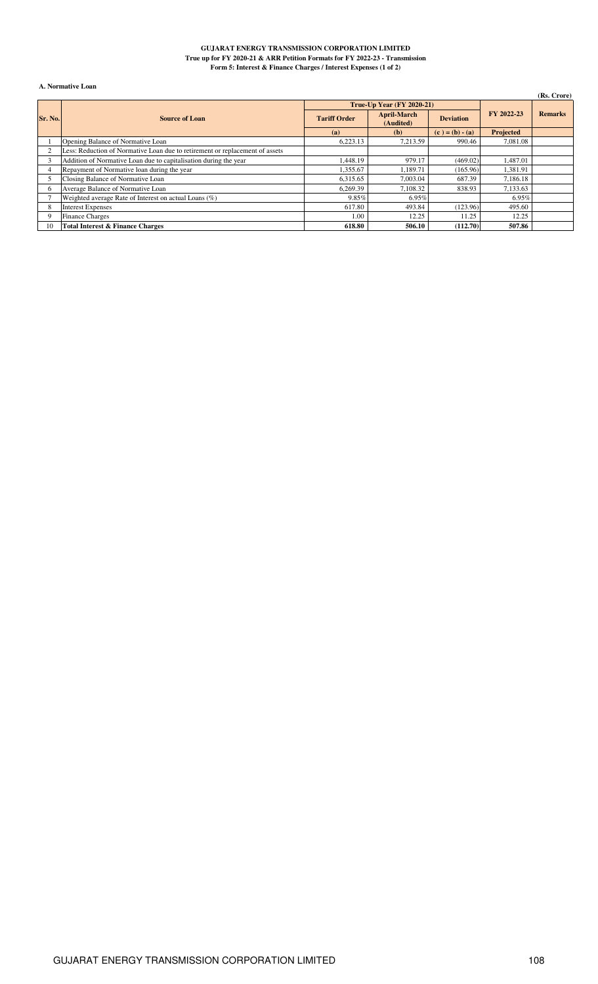#### **GUJARAT ENERGY TRANSMISSION CORPORATION LIMITED True up for FY 2020-21 & ARR Petition Formats for FY 2022-23 - Transmission Form 5: Interest & Finance Charges / Interest Expenses (1 of 2)**

### **A. Normative Loan**

| А. імпінанує поап |                                                                              |                     |                                 |                   |                  |                |  |  |  |  |  |
|-------------------|------------------------------------------------------------------------------|---------------------|---------------------------------|-------------------|------------------|----------------|--|--|--|--|--|
|                   |                                                                              |                     |                                 |                   |                  | (Rs. Crore)    |  |  |  |  |  |
|                   |                                                                              |                     | True-Up Year $(FY 2020-21)$     |                   |                  |                |  |  |  |  |  |
| Sr. No.           | <b>Source of Loan</b>                                                        | <b>Tariff Order</b> | <b>April-March</b><br>(Audited) | <b>Deviation</b>  |                  | <b>Remarks</b> |  |  |  |  |  |
|                   |                                                                              | (a)                 | (b)                             | $(c) = (b) - (a)$ | <b>Projected</b> |                |  |  |  |  |  |
|                   | Opening Balance of Normative Loan                                            | 6.223.13            | 7.213.59                        | 990.46            | 7.081.08         |                |  |  |  |  |  |
|                   | Less: Reduction of Normative Loan due to retirement or replacement of assets |                     |                                 |                   |                  |                |  |  |  |  |  |
|                   | Addition of Normative Loan due to capitalisation during the year             | 1,448.19            | 979.17                          | (469.02)          | 1,487.01         |                |  |  |  |  |  |
| 4                 | Repayment of Normative loan during the year                                  | 1,355.67            | 1,189.71                        | (165.96)          | 1,381.91         |                |  |  |  |  |  |
|                   | Closing Balance of Normative Loan                                            | 6,315.65            | 7,003.04                        | 687.39            | 7,186.18         |                |  |  |  |  |  |
| 6                 | Average Balance of Normative Loan                                            | 6,269.39            | 7,108.32                        | 838.93            | 7,133.63         |                |  |  |  |  |  |
|                   | Weighted average Rate of Interest on actual Loans $(\%)$                     | 9.85%               | 6.95%                           |                   | 6.95%            |                |  |  |  |  |  |
| 8                 | <b>Interest Expenses</b>                                                     | 617.80              | 493.84                          | (123.96)          | 495.60           |                |  |  |  |  |  |
| 9                 | <b>Finance Charges</b>                                                       | 1.00                | 12.25                           | 11.25             | 12.25            |                |  |  |  |  |  |
| 10                | <b>Total Interest &amp; Finance Charges</b>                                  | 618.80              | 506.10                          | (112.70)          | 507.86           |                |  |  |  |  |  |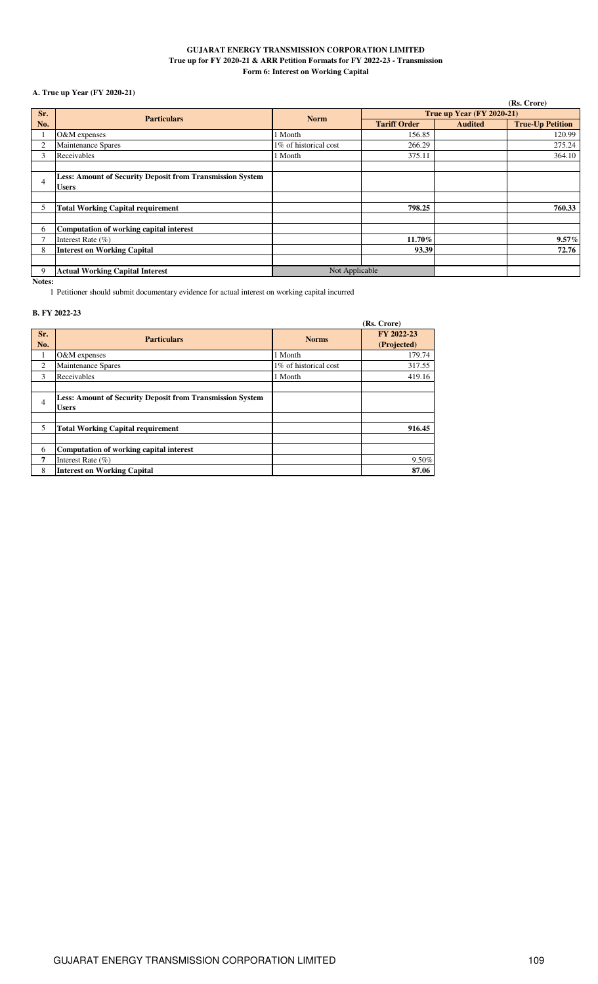### **GUJARAT ENERGY TRANSMISSION CORPORATION LIMITED True up for FY 2020-21 & ARR Petition Formats for FY 2022-23 - Transmission Form 6: Interest on Working Capital**

## **A. True up Year (FY 2020-21)**

|                |                                                                  |                       |                           |                | (Rs. Crore)             |  |
|----------------|------------------------------------------------------------------|-----------------------|---------------------------|----------------|-------------------------|--|
| Sr.            | <b>Particulars</b>                                               | <b>Norm</b>           | True up Year (FY 2020-21) |                |                         |  |
| No.            |                                                                  |                       | <b>Tariff Order</b>       | <b>Audited</b> | <b>True-Up Petition</b> |  |
|                | O&M expenses                                                     | 1 Month               | 156.85                    |                | 120.99                  |  |
| $\overline{2}$ | Maintenance Spares                                               | 1% of historical cost | 266.29                    |                | 275.24                  |  |
| 3              | Receivables                                                      | 1 Month               | 375.11                    |                | 364.10                  |  |
|                |                                                                  |                       |                           |                |                         |  |
| 4              | <b>Less: Amount of Security Deposit from Transmission System</b> |                       |                           |                |                         |  |
|                | <b>Users</b>                                                     |                       |                           |                |                         |  |
|                |                                                                  |                       |                           |                |                         |  |
| 5              | <b>Total Working Capital requirement</b>                         |                       | 798.25                    |                | 760.33                  |  |
|                |                                                                  |                       |                           |                |                         |  |
| 6              | Computation of working capital interest                          |                       |                           |                |                         |  |
|                | Interest Rate $(\% )$                                            |                       | 11.70%                    |                | $9.57\%$                |  |
| 8              | <b>Interest on Working Capital</b>                               |                       | 93.39                     |                | 72.76                   |  |
|                |                                                                  |                       |                           |                |                         |  |
| 9              | <b>Actual Working Capital Interest</b>                           | Not Applicable        |                           |                |                         |  |

**Notes:**

1 Petitioner should submit documentary evidence for actual interest on working capital incurred

### **B. FY 2022-23**

|                |                                                                                  |                       | (Rs. Crore)               |
|----------------|----------------------------------------------------------------------------------|-----------------------|---------------------------|
| Sr.<br>No.     | <b>Particulars</b>                                                               | <b>Norms</b>          | FY 2022-23<br>(Projected) |
| 1              | O&M expenses                                                                     | 1 Month               | 179.74                    |
| 2              | Maintenance Spares                                                               | 1% of historical cost | 317.55                    |
| 3              | Receivables                                                                      | 1 Month               | 419.16                    |
|                |                                                                                  |                       |                           |
| $\overline{4}$ | <b>Less: Amount of Security Deposit from Transmission System</b><br><b>Users</b> |                       |                           |
| 5              | <b>Total Working Capital requirement</b>                                         |                       | 916.45                    |
| 6              | Computation of working capital interest                                          |                       |                           |
| 7              | Interest Rate $(\% )$                                                            |                       | 9.50%                     |
| 8              | <b>Interest on Working Capital</b>                                               |                       | 87.06                     |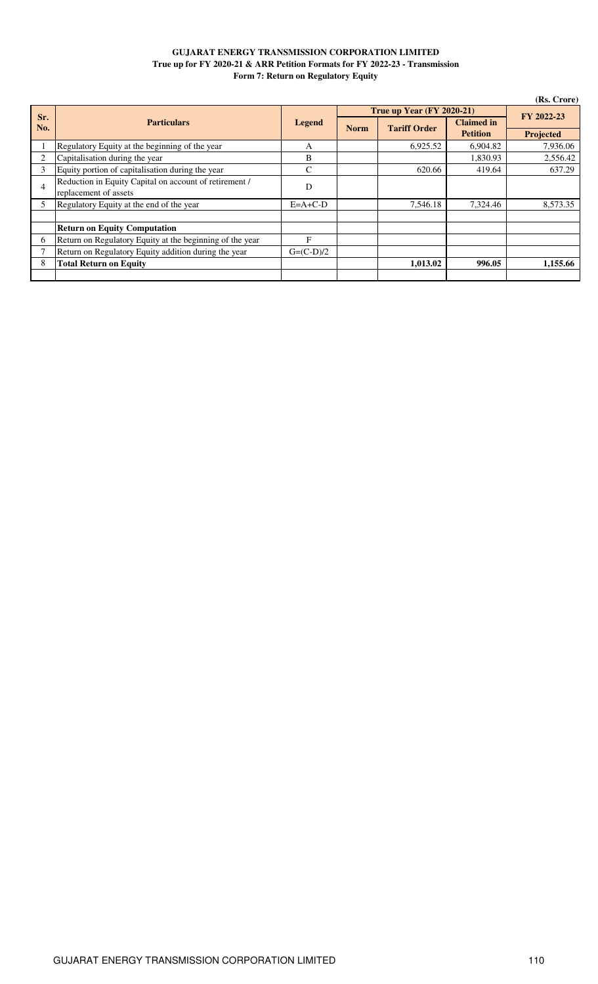### **GUJARAT ENERGY TRANSMISSION CORPORATION LIMITED True up for FY 2020-21 & ARR Petition Formats for FY 2022-23 - Transmission Form 7: Return on Regulatory Equity**

|     | (Rs. Crore)                                              |               |             |                           |                   |           |  |
|-----|----------------------------------------------------------|---------------|-------------|---------------------------|-------------------|-----------|--|
| Sr. |                                                          |               |             | True up Year (FY 2020-21) | FY 2022-23        |           |  |
| No. | <b>Particulars</b>                                       | <b>Legend</b> | <b>Norm</b> | <b>Tariff Order</b>       | <b>Claimed in</b> |           |  |
|     |                                                          |               |             |                           | <b>Petition</b>   | Projected |  |
|     | Regulatory Equity at the beginning of the year           | A             |             | 6,925.52                  | 6,904.82          | 7,936.06  |  |
| 2   | Capitalisation during the year                           | B             |             |                           | 1,830.93          | 2,556.42  |  |
| 3   | Equity portion of capitalisation during the year         | C             |             | 620.66                    | 419.64            | 637.29    |  |
| 4   | Reduction in Equity Capital on account of retirement /   | D             |             |                           |                   |           |  |
|     | replacement of assets                                    |               |             |                           |                   |           |  |
| 5   | Regulatory Equity at the end of the year                 | $E=A+C-D$     |             | 7,546.18                  | 7,324.46          | 8,573.35  |  |
|     |                                                          |               |             |                           |                   |           |  |
|     | <b>Return on Equity Computation</b>                      |               |             |                           |                   |           |  |
| 6   | Return on Regulatory Equity at the beginning of the year | F             |             |                           |                   |           |  |
|     | Return on Regulatory Equity addition during the year     | $G=(C-D)/2$   |             |                           |                   |           |  |
| 8   | Total Return on Equity                                   |               |             | 1,013.02                  | 996.05            | 1,155.66  |  |
|     |                                                          |               |             |                           |                   |           |  |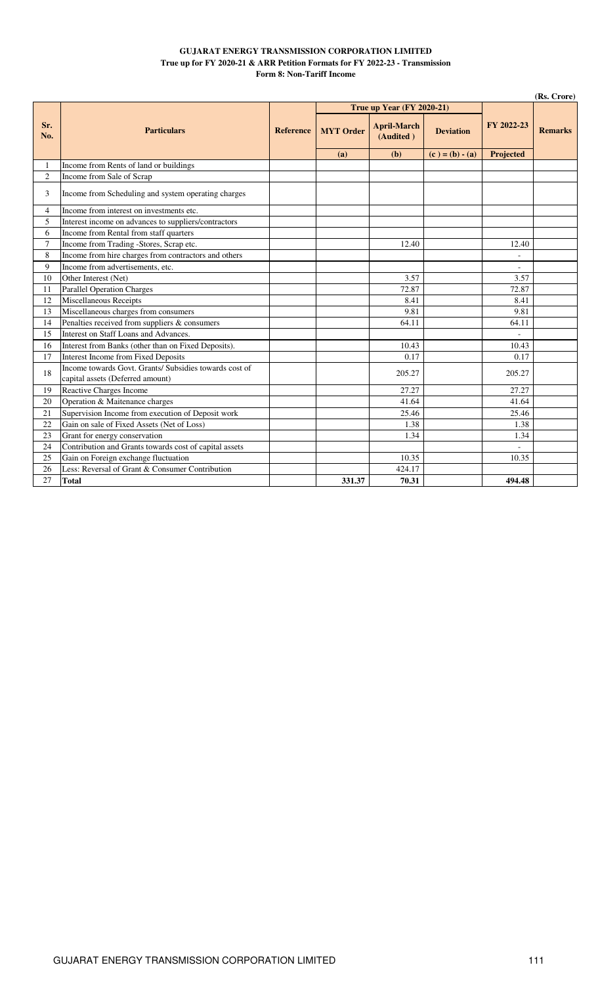### **GUJARAT ENERGY TRANSMISSION CORPORATION LIMITED True up for FY 2020-21 & ARR Petition Formats for FY 2022-23 - Transmission Form 8: Non-Tariff Income**

|                | (Rs. Crore)                                                                               |                  |                  |                                 |                   |                  |                |
|----------------|-------------------------------------------------------------------------------------------|------------------|------------------|---------------------------------|-------------------|------------------|----------------|
|                | <b>Particulars</b>                                                                        | <b>Reference</b> |                  | True up Year (FY 2020-21)       |                   |                  |                |
| Sr.<br>No.     |                                                                                           |                  | <b>MYT</b> Order | <b>April-March</b><br>(Audited) | <b>Deviation</b>  | FY 2022-23       | <b>Remarks</b> |
|                |                                                                                           |                  | (a)              | (b)                             | $(c) = (b) - (a)$ | <b>Projected</b> |                |
| 1              | Income from Rents of land or buildings                                                    |                  |                  |                                 |                   |                  |                |
| $\overline{2}$ | Income from Sale of Scrap                                                                 |                  |                  |                                 |                   |                  |                |
| 3              | Income from Scheduling and system operating charges                                       |                  |                  |                                 |                   |                  |                |
| $\overline{4}$ | Income from interest on investments etc.                                                  |                  |                  |                                 |                   |                  |                |
| 5              | Interest income on advances to suppliers/contractors                                      |                  |                  |                                 |                   |                  |                |
| 6              | Income from Rental from staff quarters                                                    |                  |                  |                                 |                   |                  |                |
| $\overline{7}$ | Income from Trading -Stores, Scrap etc.                                                   |                  |                  | 12.40                           |                   | 12.40            |                |
| 8              | Income from hire charges from contractors and others                                      |                  |                  |                                 |                   |                  |                |
| 9              | Income from advertisements, etc.                                                          |                  |                  |                                 |                   | $\frac{1}{2}$    |                |
| 10             | Other Interest (Net)                                                                      |                  |                  | 3.57                            |                   | 3.57             |                |
| 11             | <b>Parallel Operation Charges</b>                                                         |                  |                  | 72.87                           |                   | 72.87            |                |
| 12             | Miscellaneous Receipts                                                                    |                  |                  | 8.41                            |                   | 8.41             |                |
| 13             | Miscellaneous charges from consumers                                                      |                  |                  | 9.81                            |                   | 9.81             |                |
| 14             | Penalties received from suppliers & consumers                                             |                  |                  | 64.11                           |                   | 64.11            |                |
| 15             | Interest on Staff Loans and Advances.                                                     |                  |                  |                                 |                   | $\overline{a}$   |                |
| 16             | Interest from Banks (other than on Fixed Deposits).                                       |                  |                  | 10.43                           |                   | 10.43            |                |
| 17             | <b>Interest Income from Fixed Deposits</b>                                                |                  |                  | 0.17                            |                   | 0.17             |                |
| 18             | Income towards Govt. Grants/Subsidies towards cost of<br>capital assets (Deferred amount) |                  |                  | 205.27                          |                   | 205.27           |                |
| 19             | <b>Reactive Charges Income</b>                                                            |                  |                  | 27.27                           |                   | 27.27            |                |
| 20             | Operation & Maitenance charges                                                            |                  |                  | 41.64                           |                   | 41.64            |                |
| 21             | Supervision Income from execution of Deposit work                                         |                  |                  | 25.46                           |                   | 25.46            |                |
| 22             | Gain on sale of Fixed Assets (Net of Loss)                                                |                  |                  | 1.38                            |                   | 1.38             |                |
| 23             | Grant for energy conservation                                                             |                  |                  | 1.34                            |                   | 1.34             |                |
| 24             | Contribution and Grants towards cost of capital assets                                    |                  |                  |                                 |                   |                  |                |
| 25             | Gain on Foreign exchange fluctuation                                                      |                  |                  | 10.35                           |                   | 10.35            |                |
| 26             | Less: Reversal of Grant & Consumer Contribution                                           |                  |                  | 424.17                          |                   |                  |                |
| 27             | <b>Total</b>                                                                              |                  | 331.37           | 70.31                           |                   | 494.48           |                |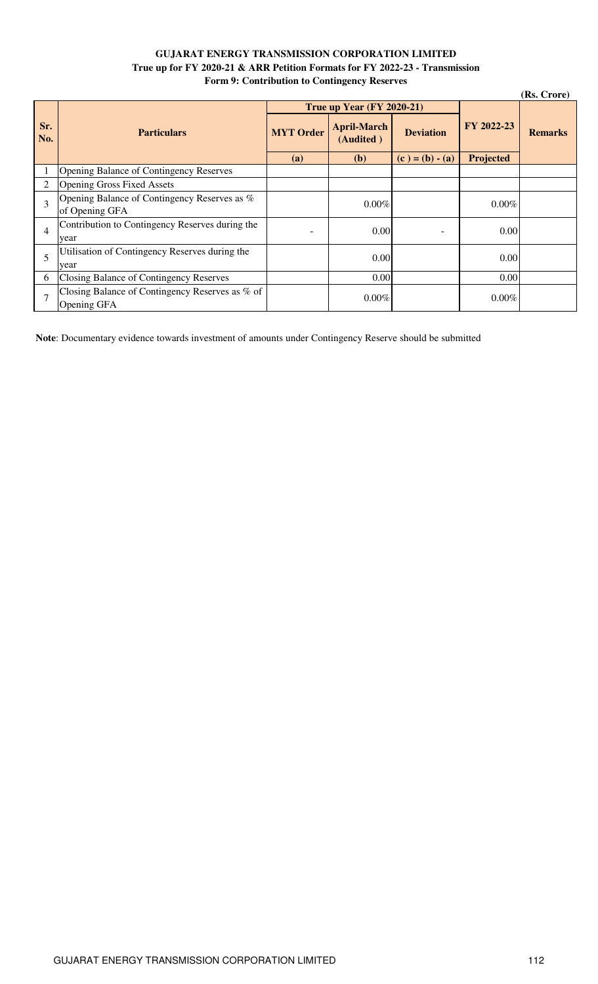## **GUJARAT ENERGY TRANSMISSION CORPORATION LIMITED True up for FY 2020-21 & ARR Petition Formats for FY 2022-23 - Transmission Form 9: Contribution to Contingency Reserves**

| (Rs. Crore)    |                                                                |                  |                                  |                          |            |                |  |
|----------------|----------------------------------------------------------------|------------------|----------------------------------|--------------------------|------------|----------------|--|
|                |                                                                |                  | <b>True up Year (FY 2020-21)</b> |                          |            |                |  |
| Sr.<br>No.     | <b>Particulars</b>                                             | <b>MYT</b> Order | <b>April-March</b><br>(Audited)  | <b>Deviation</b>         | FY 2022-23 | <b>Remarks</b> |  |
|                |                                                                | (a)              | <b>(b)</b>                       | $(c) = (b) - (a)$        | Projected  |                |  |
|                | <b>Opening Balance of Contingency Reserves</b>                 |                  |                                  |                          |            |                |  |
|                | <b>Opening Gross Fixed Assets</b>                              |                  |                                  |                          |            |                |  |
| 3              | Opening Balance of Contingency Reserves as %                   |                  | 0.00%                            |                          | $0.00\%$   |                |  |
|                | of Opening GFA                                                 |                  |                                  |                          |            |                |  |
| $\overline{4}$ | Contribution to Contingency Reserves during the                |                  | 0.00                             | $\overline{\phantom{0}}$ | 0.00       |                |  |
|                | year                                                           |                  |                                  |                          |            |                |  |
| 5              | Utilisation of Contingency Reserves during the                 |                  | 0.00                             |                          | 0.00       |                |  |
|                | year                                                           |                  |                                  |                          |            |                |  |
| 6              | Closing Balance of Contingency Reserves                        |                  | 0.00                             |                          | 0.00       |                |  |
| $\tau$         | Closing Balance of Contingency Reserves as % of<br>Opening GFA |                  | $0.00\%$                         |                          | $0.00\%$   |                |  |

**Note**: Documentary evidence towards investment of amounts under Contingency Reserve should be submitted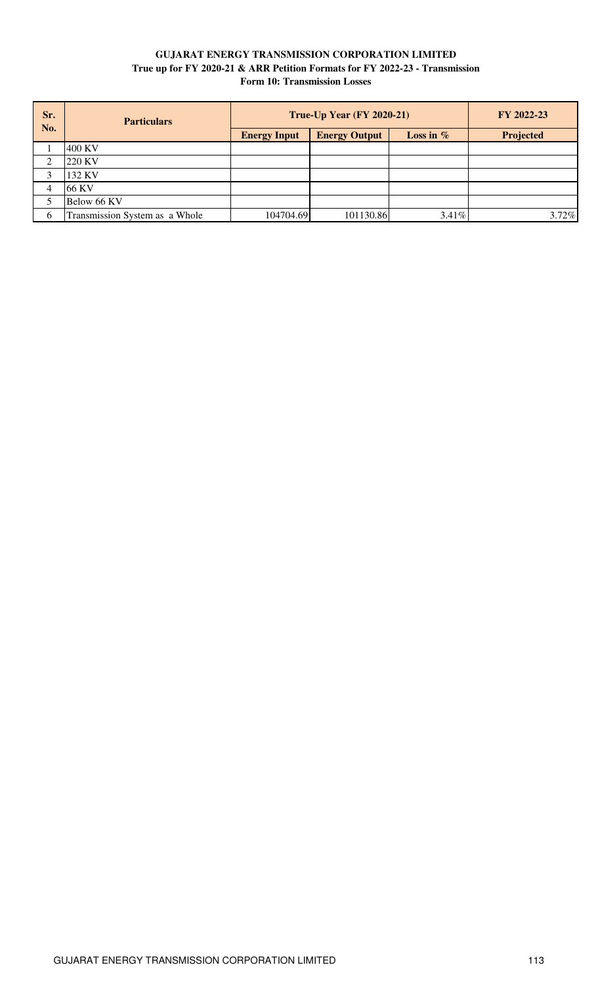## **GUJARAT ENERGY TRANSMISSION CORPORATION LIMITED True up for FY 2020-21 & ARR Petition Formats for FY 2022-23 - Transmission Form 10: Transmission Losses**

| Sr.<br>No. | <b>Particulars</b>             | <b>True-Up Year (FY 2020-21)</b> | FY 2022-23           |             |           |
|------------|--------------------------------|----------------------------------|----------------------|-------------|-----------|
|            |                                | <b>Energy Input</b>              | <b>Energy Output</b> | Loss in $%$ | Projected |
|            | 400 KV                         |                                  |                      |             |           |
|            | 220 KV                         |                                  |                      |             |           |
|            | 132 KV                         |                                  |                      |             |           |
| 4          | 66 KV                          |                                  |                      |             |           |
|            | Below 66 KV                    |                                  |                      |             |           |
| 6          | Transmission System as a Whole | 104704.69                        | 101130.86            | 3.41%       | 3.72%     |